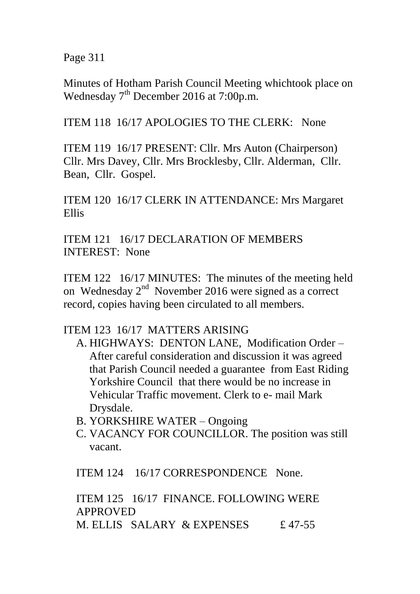Page 311

Minutes of Hotham Parish Council Meeting whichtook place on Wednesday  $7<sup>th</sup>$  December 2016 at 7:00p.m.

ITEM 118 16/17 APOLOGIES TO THE CLERK: None

ITEM 119 16/17 PRESENT: Cllr. Mrs Auton (Chairperson) Cllr. Mrs Davey, Cllr. Mrs Brocklesby, Cllr. Alderman, Cllr. Bean, Cllr. Gospel.

ITEM 120 16/17 CLERK IN ATTENDANCE: Mrs Margaret Ellis

ITEM 121 16/17 DECLARATION OF MEMBERS INTEREST: None

ITEM 122 16/17 MINUTES: The minutes of the meeting held on Wednesday 2<sup>nd</sup> November 2016 were signed as a correct record, copies having been circulated to all members.

ITEM 123 16/17 MATTERS ARISING

- A. HIGHWAYS: DENTON LANE, Modification Order After careful consideration and discussion it was agreed that Parish Council needed a guarantee from East Riding Yorkshire Council that there would be no increase in Vehicular Traffic movement. Clerk to e- mail Mark Drysdale.
- B. YORKSHIRE WATER Ongoing
- C. VACANCY FOR COUNCILLOR. The position was still vacant.

ITEM 124 16/17 CORRESPONDENCE None.

ITEM 125 16/17 FINANCE. FOLLOWING WERE APPROVED M. ELLIS SALARY & EXPENSES  $£ 47-55$